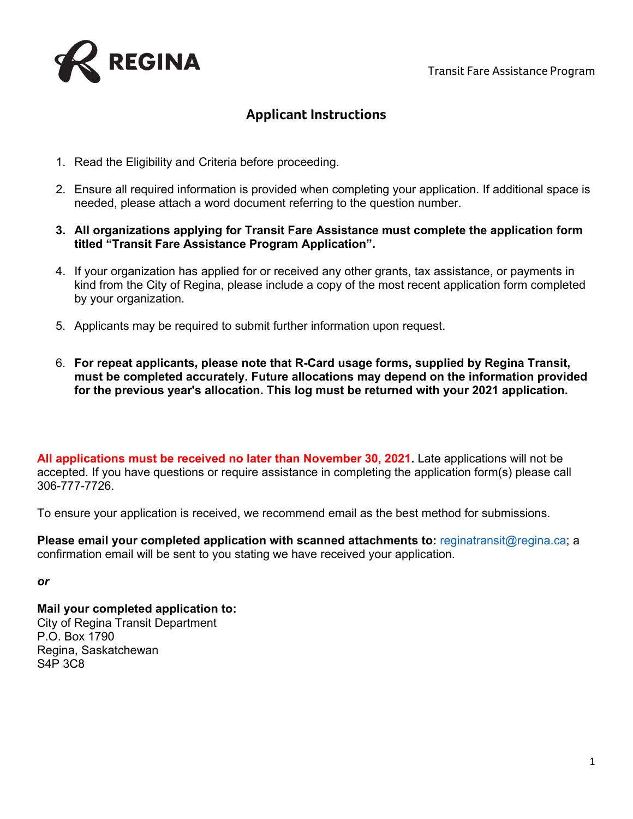

## **Applicant Instructions**

- 1. Read the Eligibility and Criteria before proceeding.
- 2. Ensure all required information is provided when completing your application. If additional space is needed, please attach a word document referring to the question number.
- **3. All organizations applying for Transit Fare Assistance must complete the application form titled "Transit Fare Assistance Program Application".**
- 4. If your organization has applied for or received any other grants, tax assistance, or payments in kind from the City of Regina, please include a copy of the most recent application form completed by your organization.
- 5. Applicants may be required to submit further information upon request.
- 6. **For repeat applicants, please note that R-Card usage forms, supplied by Regina Transit, must be completed accurately. Future allocations may depend on the information provided for the previous year's allocation. This log must be returned with your 2021 application.**

**All applications must be received no later than November 30, 2021.** Late applications will not be accepted. If you have questions or require assistance in completing the application form(s) please call 306-777-7726.

To ensure your application is received, we recommend email as the best method for submissions.

**Please email your completed application with scanned attachments to:** reginatransit@regina.ca; a confirmation email will be sent to you stating we have received your application.

*or* 

**Mail your completed application to:**  City of Regina Transit Department P.O. Box 1790 Regina, Saskatchewan S4P 3C8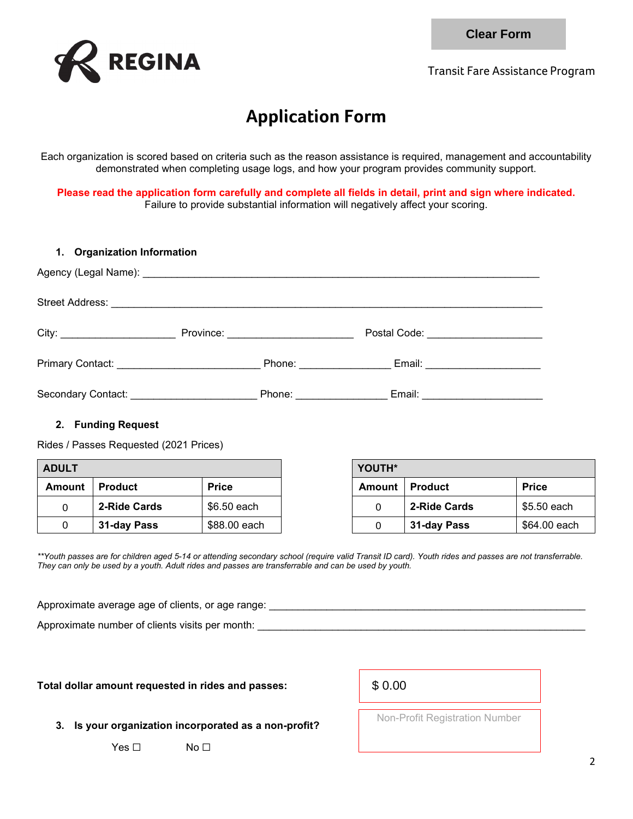

Transit Fare Assistance Program

## **Application Form**

Each organization is scored based on criteria such as the reason assistance is required, management and accountability demonstrated when completing usage logs, and how your program provides community support.

**Please read the application form carefully and complete all fields in detail, print and sign where indicated.** Failure to provide substantial information will negatively affect your scoring.

|              |                                                              |                                                                                                                                                                                                                                                                                                                                                                                            |                         |              | <b>Clear Form</b> |
|--------------|--------------------------------------------------------------|--------------------------------------------------------------------------------------------------------------------------------------------------------------------------------------------------------------------------------------------------------------------------------------------------------------------------------------------------------------------------------------------|-------------------------|--------------|-------------------|
|              | <b>REGINA</b>                                                | <b>Transit Fare Assistance</b>                                                                                                                                                                                                                                                                                                                                                             |                         |              |                   |
|              |                                                              |                                                                                                                                                                                                                                                                                                                                                                                            | <b>Application Form</b> |              |                   |
|              |                                                              | Each organization is scored based on criteria such as the reason assistance is required, management and acc<br>demonstrated when completing usage logs, and how your program provides community support.                                                                                                                                                                                   |                         |              |                   |
|              |                                                              | Please read the application form carefully and complete all fields in detail, print and sign where indi<br>Failure to provide substantial information will negatively affect your scoring.                                                                                                                                                                                                 |                         |              |                   |
| 1.           | <b>Organization Information</b>                              |                                                                                                                                                                                                                                                                                                                                                                                            |                         |              |                   |
|              |                                                              |                                                                                                                                                                                                                                                                                                                                                                                            |                         |              |                   |
|              |                                                              |                                                                                                                                                                                                                                                                                                                                                                                            |                         |              |                   |
|              |                                                              |                                                                                                                                                                                                                                                                                                                                                                                            |                         |              |                   |
|              |                                                              |                                                                                                                                                                                                                                                                                                                                                                                            |                         |              |                   |
|              |                                                              |                                                                                                                                                                                                                                                                                                                                                                                            |                         |              |                   |
|              | 2. Funding Request<br>Rides / Passes Requested (2021 Prices) |                                                                                                                                                                                                                                                                                                                                                                                            |                         |              |                   |
| <b>ADULT</b> |                                                              |                                                                                                                                                                                                                                                                                                                                                                                            | YOUTH*                  |              |                   |
| Amount       | <b>Product</b>                                               | <b>Price</b>                                                                                                                                                                                                                                                                                                                                                                               | Amount   Product        |              | <b>Price</b>      |
| 0            | 2-Ride Cards                                                 | \$6.50 each                                                                                                                                                                                                                                                                                                                                                                                | 0                       | 2-Ride Cards | \$5.50            |
| 0            | 31-day Pass                                                  | \$88.00 each                                                                                                                                                                                                                                                                                                                                                                               | 0                       | 31-day Pass  | \$64.0            |
|              |                                                              | **Youth passes are for children aged 5-14 or attending secondary school (require valid Transit ID card). Youth rides and passes are not tra<br>They can only be used by a youth. Adult rides and passes are transferrable and can be used by youth.<br>Approximate average age of clients, or age range: ______________________________<br>Approximate number of clients visits per month: |                         |              |                   |
|              |                                                              | Total dollar amount requested in rides and passes:                                                                                                                                                                                                                                                                                                                                         | \$0.00                  |              |                   |

## **2. Funding Request**

| <b>ADULT</b> |                |              | <b>YOUTH*</b>    |              |              |
|--------------|----------------|--------------|------------------|--------------|--------------|
| Amount       | <b>Product</b> | <b>Price</b> | Amount   Product |              | <b>Price</b> |
|              | 2-Ride Cards   | \$6.50 each  |                  | 2-Ride Cards | \$5.50 each  |
|              | 31-day Pass    | \$88.00 each |                  | 31-day Pass  | \$64.00 each |

*\*\*Youth passes are for children aged 5-14 or attending secondary school (require valid Transit ID card). Youth rides and passes are not transferrable. They can only be used by a youth. Adult rides and passes are transferrable and can be used by youth.* 

## **Total dollar amount requested in rides and passes:**

|  | \$0.00 |  |
|--|--------|--|
|--|--------|--|

**3. Is your organization incorporated as a non-profit?**

Yes □ No □

Non-Profit Registration Number